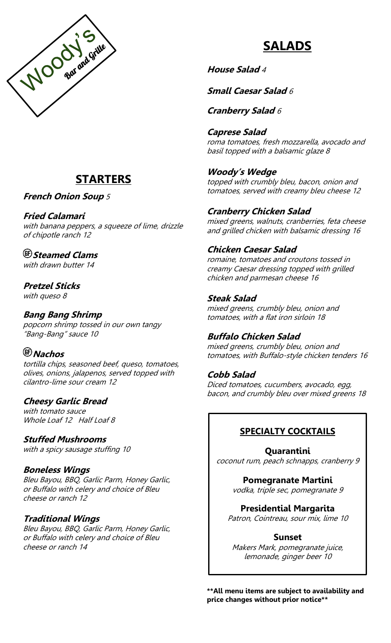

# **STARTERS**

### **French Onion Soup** <sup>5</sup>

#### **Fried Calamari**

with banana peppers, a squeeze of lime, drizzle of chipotle ranch 12

# **Steamed Clams**

with drawn butter 14

### **Pretzel Sticks**

with queso 8

### **Bang Bang Shrimp**

popcorn shrimp tossed in our own tangy "Bang-Bang" sauce 10

# **Nachos**

tortilla chips, seasoned beef, queso, tomatoes, olives, onions, jalapenos, served topped with cilantro-lime sour cream 12

#### **Cheesy Garlic Bread**

with tomato sauce Whole Loaf 12 Half Loaf 8

**Stuffed Mushrooms** with a spicy sausage stuffing 10

#### **Boneless Wings**

Bleu Bayou, BBQ, Garlic Parm, Honey Garlic, or Buffalo with celery and choice of Bleu cheese or ranch 12

#### **Traditional Wings**

Bleu Bayou, BBQ, Garlic Parm, Honey Garlic, or Buffalo with celery and choice of Bleu cheese or ranch 14

# **SALADS**

**House Salad** 4

**Small Caesar Salad** 6

**Cranberry Salad** <sup>6</sup>

# **Caprese Salad**

roma tomatoes, fresh mozzarella, avocado and basil topped with a balsamic glaze 8

#### **Woody's Wedge**

topped with crumbly bleu, bacon, onion and tomatoes, served with creamy bleu cheese 12

### **Cranberry Chicken Salad**

mixed greens, walnuts, cranberries, feta cheese and grilled chicken with balsamic dressing 16

# **Chicken Caesar Salad**

romaine, tomatoes and croutons tossed in creamy Caesar dressing topped with grilled chicken and parmesan cheese 16

### **Steak Salad**

mixed greens, crumbly bleu, onion and tomatoes, with a flat iron sirloin 18

# **Buffalo Chicken Salad**

mixed greens, crumbly bleu, onion and tomatoes, with Buffalo-style chicken tenders 16

#### **Cobb Salad**

Diced tomatoes, cucumbers, avocado, egg, bacon, and crumbly bleu over mixed greens 18

# **SPECIALTY COCKTAILS**

**Quarantini** coconut rum, peach schnapps, cranberry 9

> **Pomegranate Martini** vodka, triple sec, pomegranate 9

#### **Presidential Margarita**

Patron, Cointreau, sour mix, lime 10

#### **Sunset**

Makers Mark, pomegranate juice, lemonade, ginger beer 10

**\*\*All menu items are subject to availability and price changes without prior notice\*\***